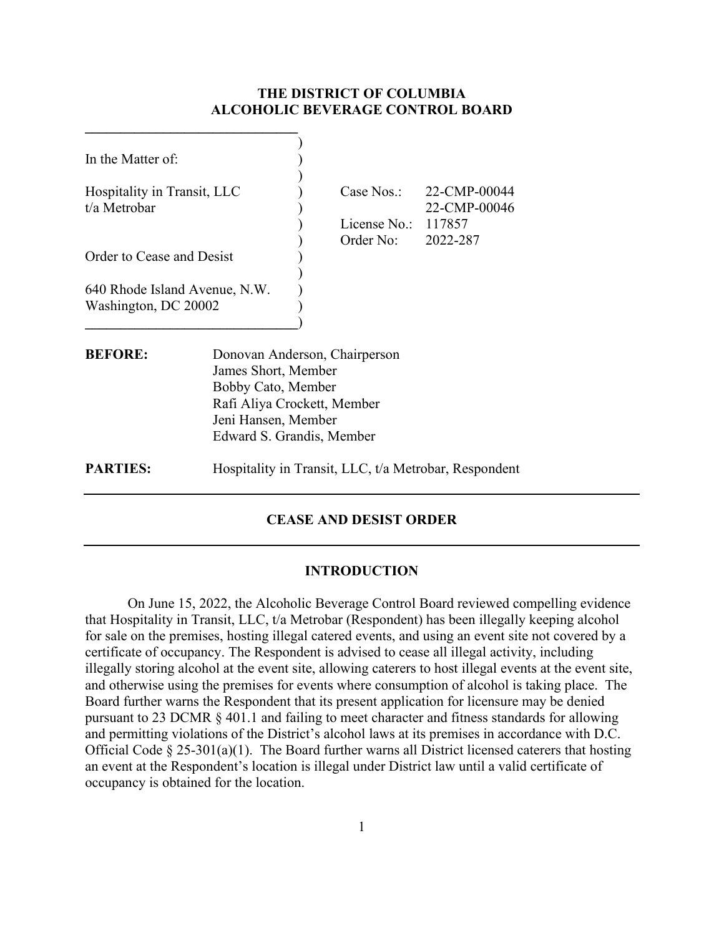## **THE DISTRICT OF COLUMBIA ALCOHOLIC BEVERAGE CONTROL BOARD**

| In the Matter of:                                     |                                                                                                                                                               |  |                                                  |                                                       |  |
|-------------------------------------------------------|---------------------------------------------------------------------------------------------------------------------------------------------------------------|--|--------------------------------------------------|-------------------------------------------------------|--|
| Hospitality in Transit, LLC<br>t/a Metrobar           |                                                                                                                                                               |  | Case Nos.:<br>License No.: $117857$<br>Order No: | 22-CMP-00044<br>22-CMP-00046<br>2022-287              |  |
| Order to Cease and Desist                             |                                                                                                                                                               |  |                                                  |                                                       |  |
| 640 Rhode Island Avenue, N.W.<br>Washington, DC 20002 |                                                                                                                                                               |  |                                                  |                                                       |  |
| <b>BEFORE:</b>                                        | Donovan Anderson, Chairperson<br>James Short, Member<br>Bobby Cato, Member<br>Rafi Aliya Crockett, Member<br>Jeni Hansen, Member<br>Edward S. Grandis, Member |  |                                                  |                                                       |  |
| <b>PARTIES:</b>                                       |                                                                                                                                                               |  |                                                  | Hospitality in Transit, LLC, t/a Metrobar, Respondent |  |

# **CEASE AND DESIST ORDER**

#### **INTRODUCTION**

On June 15, 2022, the Alcoholic Beverage Control Board reviewed compelling evidence that Hospitality in Transit, LLC, t/a Metrobar (Respondent) has been illegally keeping alcohol for sale on the premises, hosting illegal catered events, and using an event site not covered by a certificate of occupancy. The Respondent is advised to cease all illegal activity, including illegally storing alcohol at the event site, allowing caterers to host illegal events at the event site, and otherwise using the premises for events where consumption of alcohol is taking place. The Board further warns the Respondent that its present application for licensure may be denied pursuant to 23 DCMR § 401.1 and failing to meet character and fitness standards for allowing and permitting violations of the District's alcohol laws at its premises in accordance with D.C. Official Code  $\S 25-301(a)(1)$ . The Board further warns all District licensed caterers that hosting an event at the Respondent's location is illegal under District law until a valid certificate of occupancy is obtained for the location.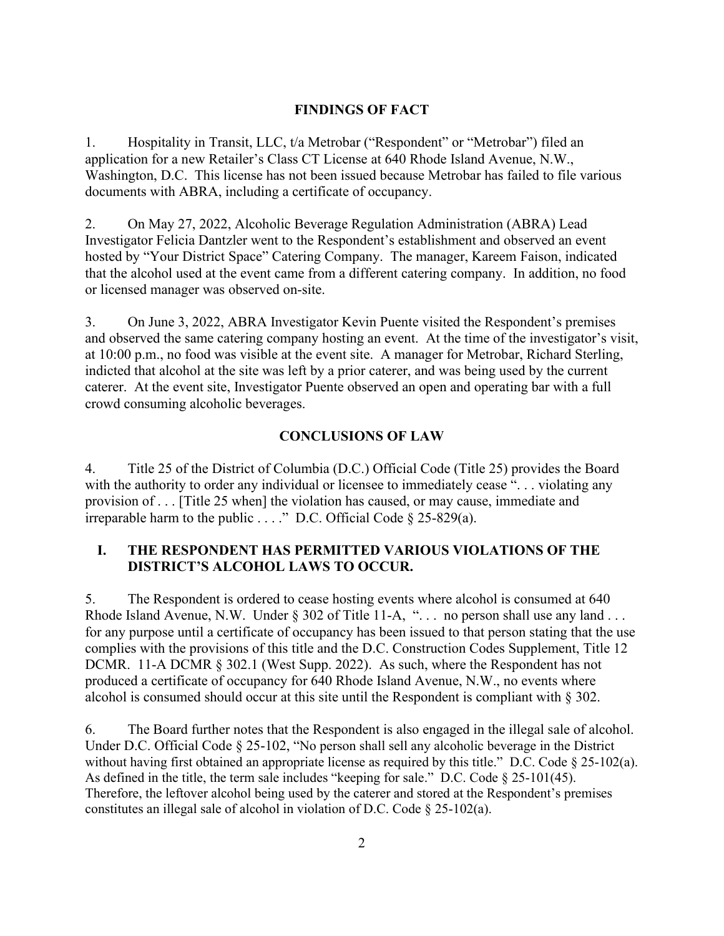### **FINDINGS OF FACT**

1. Hospitality in Transit, LLC, t/a Metrobar ("Respondent" or "Metrobar") filed an application for a new Retailer's Class CT License at 640 Rhode Island Avenue, N.W., Washington, D.C. This license has not been issued because Metrobar has failed to file various documents with ABRA, including a certificate of occupancy.

2. On May 27, 2022, Alcoholic Beverage Regulation Administration (ABRA) Lead Investigator Felicia Dantzler went to the Respondent's establishment and observed an event hosted by "Your District Space" Catering Company. The manager, Kareem Faison, indicated that the alcohol used at the event came from a different catering company. In addition, no food or licensed manager was observed on-site.

3. On June 3, 2022, ABRA Investigator Kevin Puente visited the Respondent's premises and observed the same catering company hosting an event. At the time of the investigator's visit, at 10:00 p.m., no food was visible at the event site. A manager for Metrobar, Richard Sterling, indicted that alcohol at the site was left by a prior caterer, and was being used by the current caterer. At the event site, Investigator Puente observed an open and operating bar with a full crowd consuming alcoholic beverages.

### **CONCLUSIONS OF LAW**

4. Title 25 of the District of Columbia (D.C.) Official Code (Title 25) provides the Board with the authority to order any individual or licensee to immediately cease "... violating any provision of . . . [Title 25 when] the violation has caused, or may cause, immediate and irreparable harm to the public . . . ." D.C. Official Code § 25-829(a).

## **I. THE RESPONDENT HAS PERMITTED VARIOUS VIOLATIONS OF THE DISTRICT'S ALCOHOL LAWS TO OCCUR.**

5. The Respondent is ordered to cease hosting events where alcohol is consumed at 640 Rhode Island Avenue, N.W. Under § 302 of Title 11-A, "... no person shall use any land ... for any purpose until a certificate of occupancy has been issued to that person stating that the use complies with the provisions of this title and the D.C. Construction Codes Supplement, Title 12 DCMR. 11-A DCMR § 302.1 (West Supp. 2022). As such, where the Respondent has not produced a certificate of occupancy for 640 Rhode Island Avenue, N.W., no events where alcohol is consumed should occur at this site until the Respondent is compliant with § 302.

6. The Board further notes that the Respondent is also engaged in the illegal sale of alcohol. Under D.C. Official Code § 25-102, "No person shall sell any alcoholic beverage in the District without having first obtained an appropriate license as required by this title." D.C. Code § 25-102(a). As defined in the title, the term sale includes "keeping for sale." D.C. Code § 25-101(45). Therefore, the leftover alcohol being used by the caterer and stored at the Respondent's premises constitutes an illegal sale of alcohol in violation of D.C. Code § 25-102(a).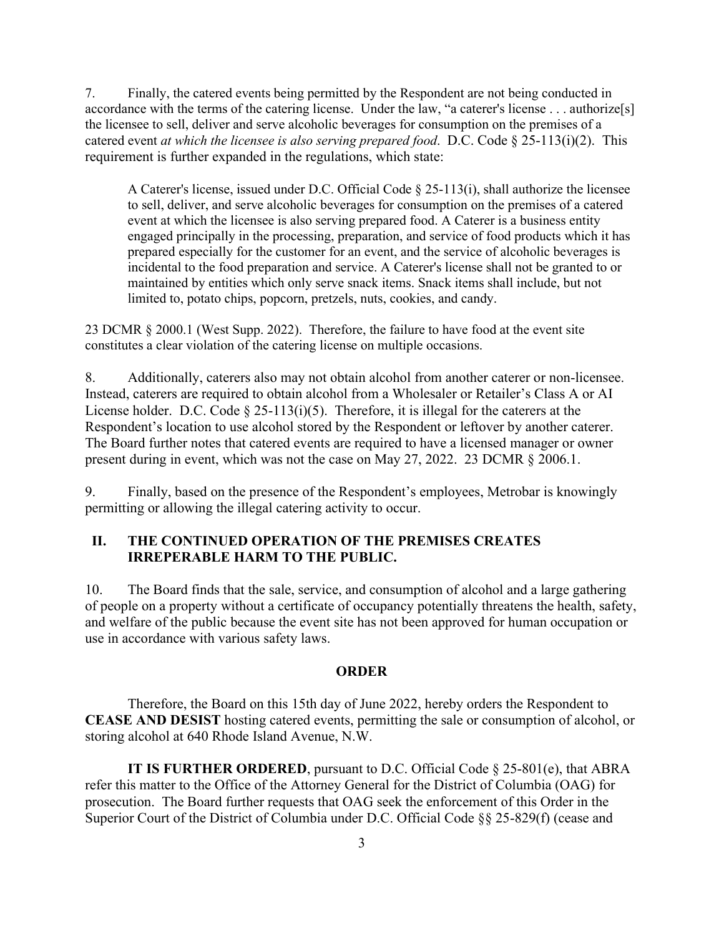7. Finally, the catered events being permitted by the Respondent are not being conducted in accordance with the terms of the catering license. Under the law, "a caterer's license . . . authorize[s] the licensee to sell, deliver and serve alcoholic beverages for consumption on the premises of a catered event *at which the licensee is also serving prepared food*. D.C. Code § 25-113(i)(2). This requirement is further expanded in the regulations, which state:

A Caterer's license, issued under D.C. Official Code § 25-113(i), shall authorize the licensee to sell, deliver, and serve alcoholic beverages for consumption on the premises of a catered event at which the licensee is also serving prepared food. A Caterer is a business entity engaged principally in the processing, preparation, and service of food products which it has prepared especially for the customer for an event, and the service of alcoholic beverages is incidental to the food preparation and service. A Caterer's license shall not be granted to or maintained by entities which only serve snack items. Snack items shall include, but not limited to, potato chips, popcorn, pretzels, nuts, cookies, and candy.

23 DCMR § 2000.1 (West Supp. 2022). Therefore, the failure to have food at the event site constitutes a clear violation of the catering license on multiple occasions.

8. Additionally, caterers also may not obtain alcohol from another caterer or non-licensee. Instead, caterers are required to obtain alcohol from a Wholesaler or Retailer's Class A or AI License holder. D.C. Code  $\S 25-113(i)(5)$ . Therefore, it is illegal for the caterers at the Respondent's location to use alcohol stored by the Respondent or leftover by another caterer. The Board further notes that catered events are required to have a licensed manager or owner present during in event, which was not the case on May 27, 2022. 23 DCMR § 2006.1.

9. Finally, based on the presence of the Respondent's employees, Metrobar is knowingly permitting or allowing the illegal catering activity to occur.

## **II. THE CONTINUED OPERATION OF THE PREMISES CREATES IRREPERABLE HARM TO THE PUBLIC.**

10. The Board finds that the sale, service, and consumption of alcohol and a large gathering of people on a property without a certificate of occupancy potentially threatens the health, safety, and welfare of the public because the event site has not been approved for human occupation or use in accordance with various safety laws.

#### **ORDER**

Therefore, the Board on this 15th day of June 2022, hereby orders the Respondent to **CEASE AND DESIST** hosting catered events, permitting the sale or consumption of alcohol, or storing alcohol at 640 Rhode Island Avenue, N.W.

**IT IS FURTHER ORDERED**, pursuant to D.C. Official Code § 25-801(e), that ABRA refer this matter to the Office of the Attorney General for the District of Columbia (OAG) for prosecution. The Board further requests that OAG seek the enforcement of this Order in the Superior Court of the District of Columbia under D.C. Official Code §§ 25-829(f) (cease and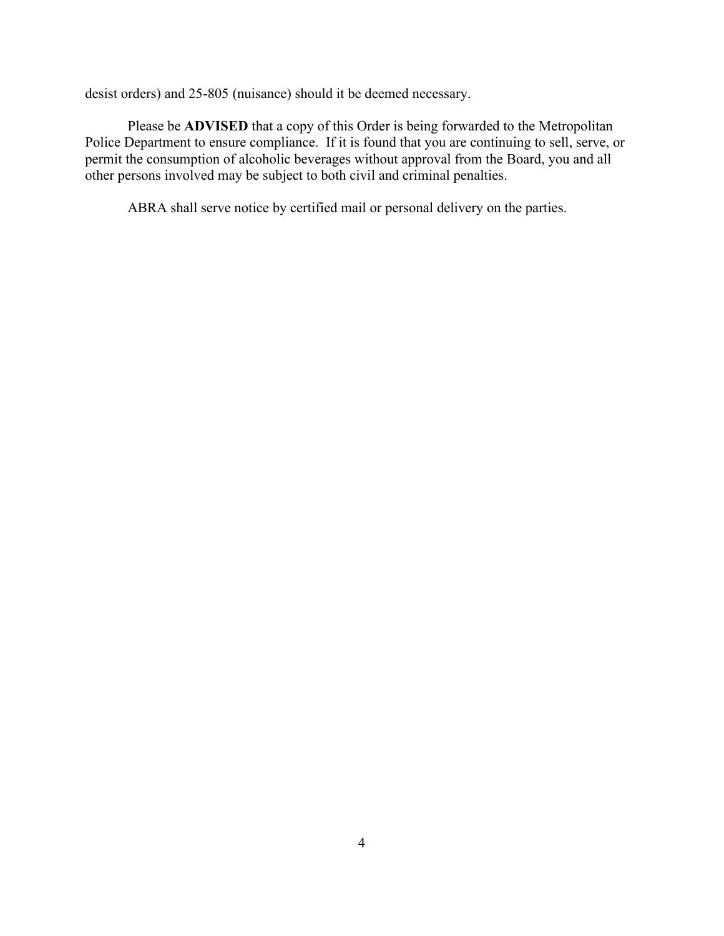desist orders) and 25-805 (nuisance) should it be deemed necessary.

Please be **ADVISED** that a copy of this Order is being forwarded to the Metropolitan Police Department to ensure compliance. If it is found that you are continuing to sell, serve, or permit the consumption of alcoholic beverages without approval from the Board, you and all other persons involved may be subject to both civil and criminal penalties.

ABRA shall serve notice by certified mail or personal delivery on the parties.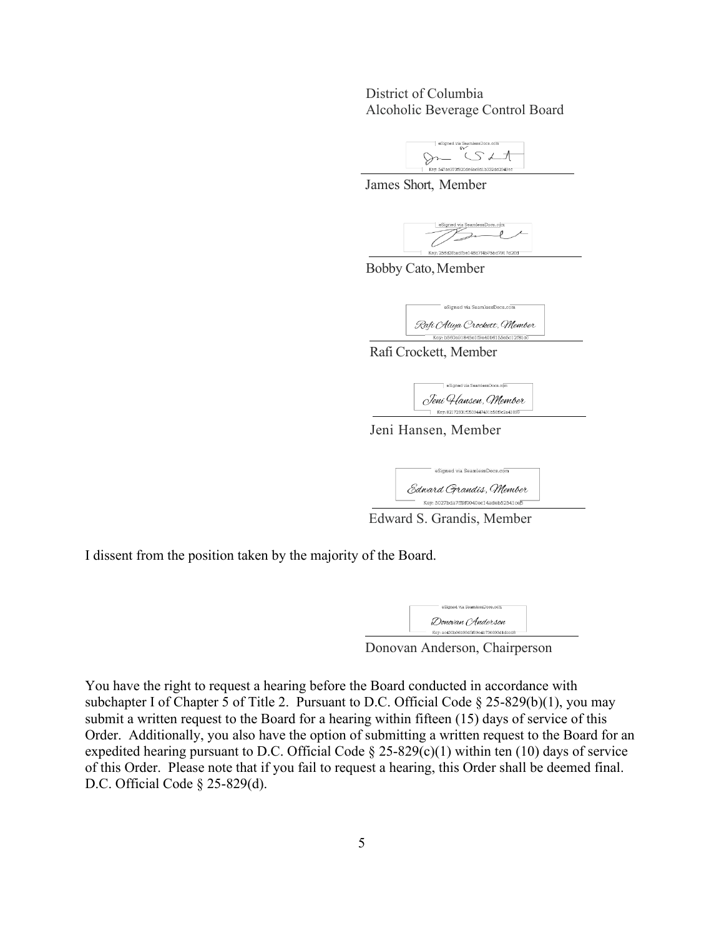District of Columbia Alcoholic Beverage Control Board



James Short, Member



Bobby Cato,Member



Rafi Crockett, Member

eSigned via SeamlessDo Jeni Hansen, Member Key: 82172931f0509447491b56f9c2a4189

Jeni Hansen, Member

| eSigned via SeamlessDocs.com          |  |
|---------------------------------------|--|
| Edward Grandis, Member                |  |
| Key: 5027bda7ff9f0040ec14adeb52541ce5 |  |

Edward S. Grandis, Member

I dissent from the position taken by the majority of the Board.

| eSigned via SeamlessDocs.com          |
|---------------------------------------|
| Donovan (Anderson                     |
| Key: ac430b96b99d5f09e4b730093d1dccd8 |

Donovan Anderson, Chairperson

You have the right to request a hearing before the Board conducted in accordance with subchapter I of Chapter 5 of Title 2. Pursuant to D.C. Official Code § 25-829(b)(1), you may submit a written request to the Board for a hearing within fifteen (15) days of service of this Order. Additionally, you also have the option of submitting a written request to the Board for an expedited hearing pursuant to D.C. Official Code  $\S 25-829(c)(1)$  within ten (10) days of service of this Order. Please note that if you fail to request a hearing, this Order shall be deemed final. D.C. Official Code § 25-829(d).